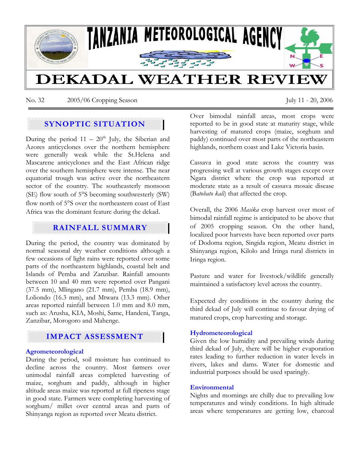

No. 32 2005/06 Cropping Season July 11 - 20, 2006

# **SYNOPTIC SITUATION**

During the period  $11 - 20<sup>th</sup>$  July, the Siberian and Azores anticyclones over the northern hemisphere were generally weak while the St.Helena and Mascarene anticyclones and the East African ridge over the southern hemisphere were intense. The near equatorial trough was active over the northeastern sector of the country. The southeasterly monsoon (SE) flow south of 5°S becoming southwesterly (SW) flow north of 5°S over the northeastern coast of East Africa was the dominant feature during the dekad.

## **RAINFALL SUMMARY**

During the period, the country was dominated by normal seasonal dry weather conditions although a few occasions of light rains were reported over some parts of the northeastern highlands, coastal belt and Islands of Pemba and Zanzibar. Rainfall amounts between 10 and 40 mm were reported over Pangani (37.5 mm), Mlingano (21.7 mm), Pemba (18.9 mm), Loliondo (16.3 mm), and Mtwara (13.3 mm). Other areas reported rainfall between 1.0 mm and 8.0 mm, such as: Arusha, KIA, Moshi, Same, Handeni, Tanga, Zanzibar, Morogoro and Mahenge.

# **IMPACT ASSESSMENT**

#### **Agrometeorological**

During the period, soil moisture has continued to decline across the country. Most farmers over unimodal rainfall areas completed harvesting of maize, sorghum and paddy, although in higher altitude areas maize was reported at full ripeness stage in good state. Farmers were completing harvesting of sorghum/ millet over central areas and parts of Shinyanga region as reported over Meatu district.

Over bimodal rainfall areas, most crops were reported to be in good state at maturity stage, while harvesting of matured crops (maize, sorghum and paddy) continued over most parts of the northeastern highlands, northern coast and Lake Victoria basin.

Cassava in good state across the country was progressing well at various growth stages except over Ngara district where the crop was reported at moderate state as a result of cassava mosaic disease (B*atobato kali*) that affected the crop.

Overall, the 2006 *Masika* crop harvest over most of bimodal rainfall regime is anticipated to be above that of 2005 cropping season. On the other hand, localized poor harvests have been reported over parts of Dodoma region, Singida region, Meatu district in Shinyanga region, Kilolo and Iringa rural districts in Iringa region.

Pasture and water for livestock/wildlife generally maintained a satisfactory level across the country.

Expected dry conditions in the country during the third dekad of July will continue to favour drying of matured crops, crop harvesting and storage.

#### **Hydrometeorological**

Given the low humidity and prevailing winds during third dekad of July, there will be higher evaporation rates leading to further reduction in water levels in rivers, lakes and dams. Water for domestic and industrial purposes should be used sparingly.

#### **Environmental**

Nights and mornings are chilly due to prevailing low temperatures and windy conditions. In high altitude areas where temperatures are getting low, charcoal